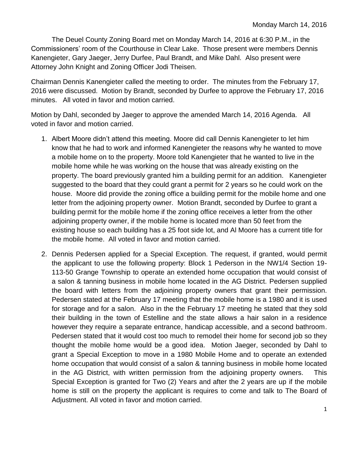The Deuel County Zoning Board met on Monday March 14, 2016 at 6:30 P.M., in the Commissioners' room of the Courthouse in Clear Lake. Those present were members Dennis Kanengieter, Gary Jaeger, Jerry Durfee, Paul Brandt, and Mike Dahl. Also present were Attorney John Knight and Zoning Officer Jodi Theisen.

Chairman Dennis Kanengieter called the meeting to order. The minutes from the February 17, 2016 were discussed. Motion by Brandt, seconded by Durfee to approve the February 17, 2016 minutes. All voted in favor and motion carried.

Motion by Dahl, seconded by Jaeger to approve the amended March 14, 2016 Agenda. All voted in favor and motion carried.

- 1. Albert Moore didn't attend this meeting. Moore did call Dennis Kanengieter to let him know that he had to work and informed Kanengieter the reasons why he wanted to move a mobile home on to the property. Moore told Kanengieter that he wanted to live in the mobile home while he was working on the house that was already existing on the property. The board previously granted him a building permit for an addition. Kanengieter suggested to the board that they could grant a permit for 2 years so he could work on the house. Moore did provide the zoning office a building permit for the mobile home and one letter from the adjoining property owner. Motion Brandt, seconded by Durfee to grant a building permit for the mobile home if the zoning office receives a letter from the other adjoining property owner, if the mobile home is located more than 50 feet from the existing house so each building has a 25 foot side lot, and Al Moore has a current title for the mobile home. All voted in favor and motion carried.
- 2. Dennis Pedersen applied for a Special Exception. The request, if granted, would permit the applicant to use the following property: Block 1 Pederson in the NW1/4 Section 19- 113-50 Grange Township to operate an extended home occupation that would consist of a salon & tanning business in mobile home located in the AG District. Pedersen supplied the board with letters from the adjoining property owners that grant their permission. Pedersen stated at the February 17 meeting that the mobile home is a 1980 and it is used for storage and for a salon. Also in the the February 17 meeting he stated that they sold their building in the town of Estelline and the state allows a hair salon in a residence however they require a separate entrance, handicap accessible, and a second bathroom. Pedersen stated that it would cost too much to remodel their home for second job so they thought the mobile home would be a good idea. Motion Jaeger, seconded by Dahl to grant a Special Exception to move in a 1980 Mobile Home and to operate an extended home occupation that would consist of a salon & tanning business in mobile home located in the AG District, with written permission from the adjoining property owners. This Special Exception is granted for Two (2) Years and after the 2 years are up if the mobile home is still on the property the applicant is requires to come and talk to The Board of Adjustment. All voted in favor and motion carried.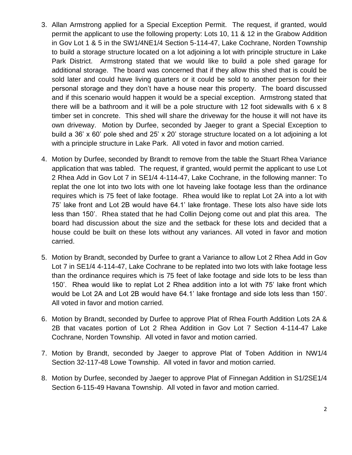- 3. Allan Armstrong applied for a Special Exception Permit. The request, if granted, would permit the applicant to use the following property: Lots 10, 11 & 12 in the Grabow Addition in Gov Lot 1 & 5 in the SW1/4NE1/4 Section 5-114-47, Lake Cochrane, Norden Township to build a storage structure located on a lot adjoining a lot with principle structure in Lake Park District. Armstrong stated that we would like to build a pole shed garage for additional storage. The board was concerned that if they allow this shed that is could be sold later and could have living quarters or it could be sold to another person for their personal storage and they don't have a house near this property. The board discussed and if this scenario would happen it would be a special exception. Armstrong stated that there will be a bathroom and it will be a pole structure with 12 foot sidewalls with 6 x 8 timber set in concrete. This shed will share the driveway for the house it will not have its own driveway. Motion by Durfee, seconded by Jaeger to grant a Special Exception to build a 36' x 60' pole shed and 25' x 20' storage structure located on a lot adjoining a lot with a principle structure in Lake Park. All voted in favor and motion carried.
- 4. Motion by Durfee, seconded by Brandt to remove from the table the Stuart Rhea Variance application that was tabled. The request, if granted, would permit the applicant to use Lot 2 Rhea Add in Gov Lot 7 in SE1/4 4-114-47, Lake Cochrane, in the following manner: To replat the one lot into two lots with one lot haveing lake footage less than the ordinance requires which is 75 feet of lake footage. Rhea would like to replat Lot 2A into a lot with 75' lake front and Lot 2B would have 64.1' lake frontage. These lots also have side lots less than 150'. Rhea stated that he had Collin Dejong come out and plat this area. The board had discussion about the size and the setback for these lots and decided that a house could be built on these lots without any variances. All voted in favor and motion carried.
- 5. Motion by Brandt, seconded by Durfee to grant a Variance to allow Lot 2 Rhea Add in Gov Lot 7 in SE1/4 4-114-47, Lake Cochrane to be replated into two lots with lake footage less than the ordinance requires which is 75 feet of lake footage and side lots to be less than 150'. Rhea would like to replat Lot 2 Rhea addition into a lot with 75' lake front which would be Lot 2A and Lot 2B would have 64.1' lake frontage and side lots less than 150'. All voted in favor and motion carried.
- 6. Motion by Brandt, seconded by Durfee to approve Plat of Rhea Fourth Addition Lots 2A & 2B that vacates portion of Lot 2 Rhea Addition in Gov Lot 7 Section 4-114-47 Lake Cochrane, Norden Township. All voted in favor and motion carried.
- 7. Motion by Brandt, seconded by Jaeger to approve Plat of Toben Addition in NW1/4 Section 32-117-48 Lowe Township. All voted in favor and motion carried.
- 8. Motion by Durfee, seconded by Jaeger to approve Plat of Finnegan Addition in S1/2SE1/4 Section 6-115-49 Havana Township. All voted in favor and motion carried.